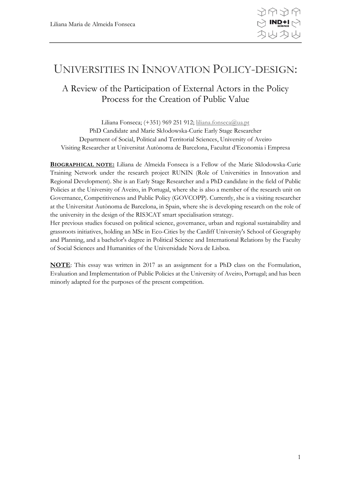# UNIVERSITIES IN INNOVATION POLICY-DESIGN:

# A Review of the Participation of External Actors in the Policy Process for the Creation of Public Value

Liliana Fonseca; (+351) 969 251 912; [liliana.fonseca@ua.pt](mailto:liliana.fonseca@ua.pt) PhD Candidate and Marie Skłodowska-Curie Early Stage Researcher Department of Social, Political and Territorial Sciences, University of Aveiro Visiting Researcher at Universitat Autònoma de Barcelona, Facultat d'Economia i Empresa

**BIOGRAPHICAL NOTE:** Liliana de Almeida Fonseca is a Fellow of the Marie Sklodowska-Curie Training Network under the research project RUNIN (Role of Universities in Innovation and Regional Development). She is an Early Stage Researcher and a PhD candidate in the field of Public Policies at the University of Aveiro, in Portugal, where she is also a member of the research unit on Governance, Competitiveness and Public Policy (GOVCOPP). Currently, she is a visiting researcher at the Universitat Autònoma de Barcelona, in Spain, where she is developing research on the role of the university in the design of the RIS3CAT smart specialisation strategy.

Her previous studies focused on political science, governance, urban and regional sustainability and grassroots initiatives, holding an MSc in Eco-Cities by the Cardiff University's School of Geography and Planning, and a bachelor's degree in Political Science and International Relations by the Faculty of Social Sciences and Humanities of the Universidade Nova de Lisboa.

**NOTE**: This essay was written in 2017 as an assignment for a PhD class on the Formulation, Evaluation and Implementation of Public Policies at the University of Aveiro, Portugal; and has been minorly adapted for the purposes of the present competition.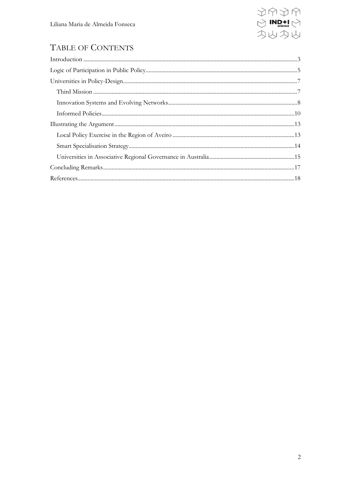

# TABLE OF CONTENTS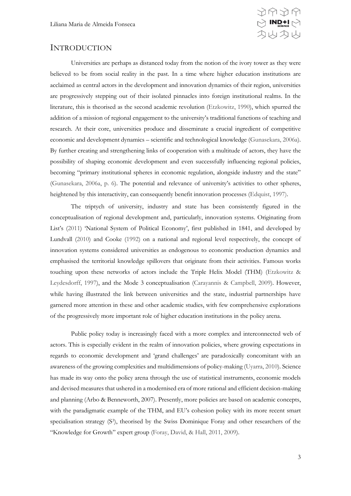

### <span id="page-2-0"></span>INTRODUCTION

Universities are perhaps as distanced today from the notion of the ivory tower as they were believed to be from social reality in the past. In a time where higher education institutions are acclaimed as central actors in the development and innovation dynamics of their region, universities are progressively stepping out of their isolated pinnacles into foreign institutional realms. In the literature, this is theorised as the second academic revolution (Etzkowitz, 1990), which spurred the addition of a mission of regional engagement to the university's traditional functions of teaching and research. At their core, universities produce and disseminate a crucial ingredient of competitive economic and development dynamics – scientific and technological knowledge (Gunasekara, 2006a). By further creating and strengthening links of cooperation with a multitude of actors, they have the possibility of shaping economic development and even successfully influencing regional policies, becoming "primary institutional spheres in economic regulation, alongside industry and the state" (Gunasekara, 2006a, p. 6). The potential and relevance of university's activities to other spheres, heightened by this interactivity, can consequently benefit innovation processes (Edquist, 1997).

The triptych of university, industry and state has been consistently figured in the conceptualisation of regional development and, particularly, innovation systems. Originating from List's (2011) 'National System of Political Economy', first published in 1841, and developed by Lundvall (2010) and Cooke (1992) on a national and regional level respectively, the concept of innovation systems considered universities as endogenous to economic production dynamics and emphasised the territorial knowledge spillovers that originate from their activities. Famous works touching upon these networks of actors include the Triple Helix Model (THM) (Etzkowitz & Leydesdorff, 1997), and the Mode 3 conceptualisation (Carayannis & Campbell, 2009). However, while having illustrated the link between universities and the state, industrial partnerships have garnered more attention in these and other academic studies, with few comprehensive explorations of the progressively more important role of higher education institutions in the policy arena.

Public policy today is increasingly faced with a more complex and interconnected web of actors. This is especially evident in the realm of innovation policies, where growing expectations in regards to economic development and 'grand challenges' are paradoxically concomitant with an awareness of the growing complexities and multidimensions of policy-making (Uyarra, 2010). Science has made its way onto the policy arena through the use of statistical instruments, economic models and devised measures that ushered in a modernised era of more rational and efficient decision-making and planning (Arbo & Benneworth, 2007). Presently, more policies are based on academic concepts, with the paradigmatic example of the THM, and EU's cohesion policy with its more recent smart specialisation strategy (S<sup>3</sup>), theorised by the Swiss Dominique Foray and other researchers of the "Knowledge for Growth" expert group (Foray, David, & Hall, 2011, 2009).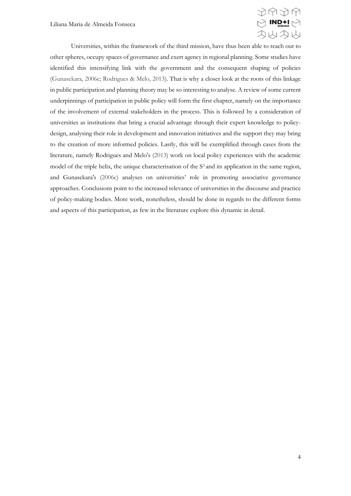

Universities, within the framework of the third mission, have thus been able to reach out to other spheres, occupy spaces of governance and exert agency in regional planning. Some studies have identified this intensifying link with the government and the consequent shaping of policies (Gunasekara, 2006c; Rodrigues & Melo, 2013). That is why a closer look at the roots of this linkage in public participation and planning theory may be so interesting to analyse. A review of some current underpinnings of participation in public policy will form the first chapter, namely on the importance of the involvement of external stakeholders in the process. This is followed by a consideration of universities as institutions that bring a crucial advantage through their expert knowledge to policydesign, analysing their role in development and innovation initiatives and the support they may bring to the creation of more informed policies. Lastly, this will be exemplified through cases from the literature, namely Rodrigues and Melo's (2013) work on local policy experiences with the academic model of the triple helix, the unique characterisation of the S<sup>3</sup> and its application in the same region, and Gunasekara's (2006c) analyses on universities' role in promoting associative governance approaches. Conclusions point to the increased relevance of universities in the discourse and practice of policy-making bodies. More work, nonetheless, should be done in regards to the different forms and aspects of this participation, as few in the literature explore this dynamic in detail.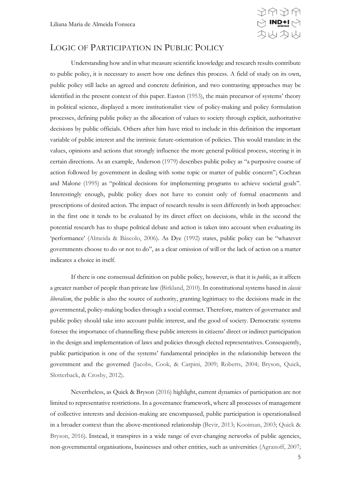

## <span id="page-4-0"></span>LOGIC OF PARTICIPATION IN PUBLIC POLICY

Understanding how and in what measure scientific knowledge and research results contribute to public policy, it is necessary to assert how one defines this process. A field of study on its own, public policy still lacks an agreed and concrete definition, and two contrasting approaches may be identified in the present context of this paper. Easton (1953), the main precursor of systems' theory in political science, displayed a more institutionalist view of policy-making and policy formulation processes, defining public policy as the allocation of values to society through explicit, authoritative decisions by public officials. Others after him have tried to include in this definition the important variable of public interest and the intrinsic future-orientation of policies. This would translate in the values, opinions and actions that strongly influence the more general political process, steering it in certain directions. As an example, Anderson (1979) describes public policy as "a purposive course of action followed by government in dealing with some topic or matter of public concern"; Cochran and Malone (1995) as "political decisions for implementing programs to achieve societal goals". Interestingly enough, public policy does not have to consist only of formal enactments and prescriptions of desired action. The impact of research results is seen differently in both approaches: in the first one it tends to be evaluated by its direct effect on decisions, while in the second the potential research has to shape political debate and action is taken into account when evaluating its 'performance' (Almeida & Báscolo, 2006). As Dye (1992) states, public policy can be "whatever governments choose to do or not to do", as a clear omission of will or the lack of action on a matter indicates a choice in itself.

If there is one consensual definition on public policy, however, is that it is *public*, as it affects a greater number of people than private law (Birkland, 2010). In constitutional systems based in *classic liberalism*, the public is also the source of authority, granting legitimacy to the decisions made in the governmental, policy-making bodies through a social contract. Therefore, matters of governance and public policy should take into account public interest, and the good of society. Democratic systems foresee the importance of channelling these public interests in citizens' direct or indirect participation in the design and implementation of laws and policies through elected representatives. Consequently, public participation is one of the systems' fundamental principles in the relationship between the government and the governed (Jacobs, Cook, & Carpini, 2009; Roberts, 2004; Bryson, Quick, Slotterback, & Crosby, 2012).

Nevertheless, as Quick & Bryson (2016) highlight, current dynamics of participation are not limited to representative restrictions. In a governance framework, where all processes of management of collective interests and decision-making are encompassed, public participation is operationalised in a broader context than the above-mentioned relationship (Bevir, 2013; Kooiman, 2003; Quick & Bryson, 2016). Instead, it transpires in a wide range of ever-changing networks of public agencies, non-governmental organisations, businesses and other entities, such as universities (Agranoff, 2007;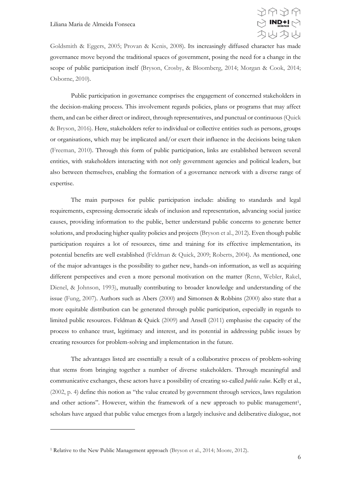

Goldsmith & Eggers, 2005; Provan & Kenis, 2008). Its increasingly diffused character has made governance move beyond the traditional spaces of government, posing the need for a change in the scope of public participation itself (Bryson, Crosby, & Bloomberg, 2014; Morgan & Cook, 2014; Osborne, 2010).

Public participation in governance comprises the engagement of concerned stakeholders in the decision-making process. This involvement regards policies, plans or programs that may affect them, and can be either direct or indirect, through representatives, and punctual or continuous (Quick & Bryson, 2016). Here, stakeholders refer to individual or collective entities such as persons, groups or organisations, which may be implicated and/or exert their influence in the decisions being taken (Freeman, 2010). Through this form of public participation, links are established between several entities, with stakeholders interacting with not only government agencies and political leaders, but also between themselves, enabling the formation of a governance network with a diverse range of expertise.

The main purposes for public participation include: abiding to standards and legal requirements, expressing democratic ideals of inclusion and representation, advancing social justice causes, providing information to the public, better understand public concerns to generate better solutions, and producing higher quality policies and projects (Bryson et al., 2012). Even though public participation requires a lot of resources, time and training for its effective implementation, its potential benefits are well established (Feldman & Quick, 2009; Roberts, 2004). As mentioned, one of the major advantages is the possibility to gather new, hands-on information, as well as acquiring different perspectives and even a more personal motivation on the matter (Renn, Webler, Rakel, Dienel, & Johnson, 1993), mutually contributing to broader knowledge and understanding of the issue (Fung, 2007). Authors such as Abers (2000) and Simonsen & Robbins (2000) also state that a more equitable distribution can be generated through public participation, especially in regards to limited public resources. Feldman & Quick (2009) and Ansell (2011) emphasise the capacity of the process to enhance trust, legitimacy and interest, and its potential in addressing public issues by creating resources for problem-solving and implementation in the future.

The advantages listed are essentially a result of a collaborative process of problem-solving that stems from bringing together a number of diverse stakeholders. Through meaningful and communicative exchanges, these actors have a possibility of creating so-called *public value*. Kelly et al., (2002, p. 4) define this notion as "the value created by government through services, laws regulation and other actions". However, within the framework of a new approach to public management<sup>1</sup>, scholars have argued that public value emerges from a largely inclusive and deliberative dialogue, not

<u>.</u>

<sup>&</sup>lt;sup>1</sup> Relative to the New Public Management approach (Bryson et al., 2014; Moore, 2012).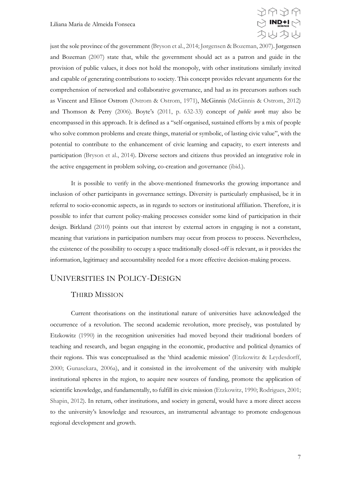

just the sole province of the government (Bryson et al., 2014; Jørgensen & Bozeman, 2007). Jørgensen and Bozeman (2007) state that, while the government should act as a patron and guide in the provision of public values, it does not hold the monopoly, with other institutions similarly invited and capable of generating contributions to society. This concept provides relevant arguments for the comprehension of networked and collaborative governance, and had as its precursors authors such as Vincent and Elinor Ostrom (Ostrom & Ostrom, 1971), McGinnis (McGinnis & Ostrom, 2012) and Thomson & Perry (2006). Boyte's (2011, p. 632-33) concept of *public work* may also be encompassed in this approach. It is defined as a "self-organised, sustained efforts by a mix of people who solve common problems and create things, material or symbolic, of lasting civic value", with the potential to contribute to the enhancement of civic learning and capacity, to exert interests and participation (Bryson et al., 2014). Diverse sectors and citizens thus provided an integrative role in the active engagement in problem solving, co-creation and governance (ibid.).

It is possible to verify in the above-mentioned frameworks the growing importance and inclusion of other participants in governance settings. Diversity is particularly emphasised, be it in referral to socio-economic aspects, as in regards to sectors or institutional affiliation. Therefore, it is possible to infer that current policy-making processes consider some kind of participation in their design. Birkland (2010) points out that interest by external actors in engaging is not a constant, meaning that variations in participation numbers may occur from process to process. Nevertheless, the existence of the possibility to occupy a space traditionally closed-off is relevant, as it provides the information, legitimacy and accountability needed for a more effective decision-making process.

## <span id="page-6-0"></span>UNIVERSITIES IN POLICY-DESIGN

#### <span id="page-6-1"></span>THIRD MISSION

Current theorisations on the institutional nature of universities have acknowledged the occurrence of a revolution. The second academic revolution, more precisely, was postulated by Etzkowitz (1990) in the recognition universities had moved beyond their traditional borders of teaching and research, and began engaging in the economic, productive and political dynamics of their regions. This was conceptualised as the 'third academic mission' (Etzkowitz & Leydesdorff, 2000; Gunasekara, 2006a), and it consisted in the involvement of the university with multiple institutional spheres in the region, to acquire new sources of funding, promote the application of scientific knowledge, and fundamentally, to fulfill its civic mission (Etzkowitz, 1990; Rodrigues, 2001; Shapin, 2012). In return, other institutions, and society in general, would have a more direct access to the university's knowledge and resources, an instrumental advantage to promote endogenous regional development and growth.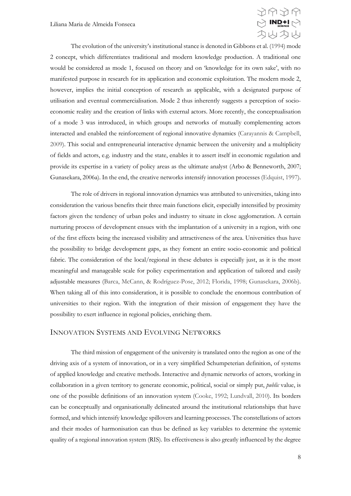

The evolution of the university's institutional stance is denoted in Gibbons et al. (1994) mode 2 concept, which differentiates traditional and modern knowledge production. A traditional one would be considered as mode 1, focused on theory and on 'knowledge for its own sake', with no manifested purpose in research for its application and economic exploitation. The modern mode 2, however, implies the initial conception of research as applicable, with a designated purpose of utilisation and eventual commercialisation. Mode 2 thus inherently suggests a perception of socioeconomic reality and the creation of links with external actors. More recently, the conceptualisation of a mode 3 was introduced, in which groups and networks of mutually complementing actors interacted and enabled the reinforcement of regional innovative dynamics (Carayannis & Campbell, 2009). This social and entrepreneurial interactive dynamic between the university and a multiplicity of fields and actors, e.g. industry and the state, enables it to assert itself in economic regulation and provide its expertise in a variety of policy areas as the ultimate analyst (Arbo & Benneworth, 2007; Gunasekara, 2006a). In the end, the creative networks intensify innovation processes (Edquist, 1997).

The role of drivers in regional innovation dynamics was attributed to universities, taking into consideration the various benefits their three main functions elicit, especially intensified by proximity factors given the tendency of urban poles and industry to situate in close agglomeration. A certain nurturing process of development ensues with the implantation of a university in a region, with one of the first effects being the increased visibility and attractiveness of the area. Universities thus have the possibility to bridge development gaps, as they foment an entire socio-economic and political fabric. The consideration of the local/regional in these debates is especially just, as it is the most meaningful and manageable scale for policy experimentation and application of tailored and easily adjustable measures (Barca, McCann, & Rodríguez-Pose, 2012; Florida, 1998; Gunasekara, 2006b). When taking all of this into consideration, it is possible to conclude the enormous contribution of universities to their region. With the integration of their mission of engagement they have the possibility to exert influence in regional policies, enriching them.

#### <span id="page-7-0"></span>INNOVATION SYSTEMS AND EVOLVING NETWORKS

The third mission of engagement of the university is translated onto the region as one of the driving axis of a system of innovation, or in a very simplified Schumpeterian definition, of systems of applied knowledge and creative methods. Interactive and dynamic networks of actors, working in collaboration in a given territory to generate economic, political, social or simply put, *public* value, is one of the possible definitions of an innovation system (Cooke, 1992; Lundvall, 2010). Its borders can be conceptually and organisationally delineated around the institutional relationships that have formed, and which intensify knowledge spillovers and learning processes. The constellations of actors and their modes of harmonisation can thus be defined as key variables to determine the systemic quality of a regional innovation system (RIS). Its effectiveness is also greatly influenced by the degree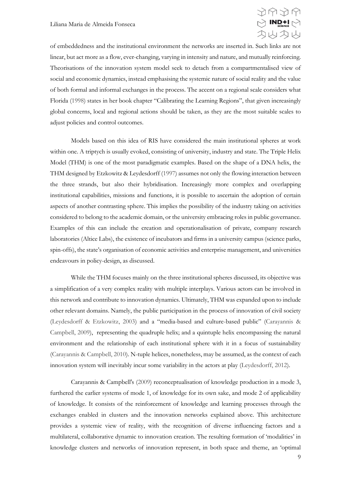

of embeddedness and the institutional environment the networks are inserted in. Such links are not linear, but act more as a flow, ever-changing, varying in intensity and nature, and mutually reinforcing. Theorisations of the innovation system model seek to detach from a compartmentalised view of social and economic dynamics, instead emphasising the systemic nature of social reality and the value of both formal and informal exchanges in the process. The accent on a regional scale considers what Florida (1998) states in her book chapter "Calibrating the Learning Regions", that given increasingly global concerns, local and regional actions should be taken, as they are the most suitable scales to adjust policies and control outcomes.

Models based on this idea of RIS have considered the main institutional spheres at work within one. A triptych is usually evoked, consisting of university, industry and state. The Triple Helix Model (THM) is one of the most paradigmatic examples. Based on the shape of a DNA helix, the THM designed by Etzkowitz & Leydesdorff (1997) assumes not only the flowing interaction between the three strands, but also their hybridisation. Increasingly more complex and overlapping institutional capabilities, missions and functions, it is possible to ascertain the adoption of certain aspects of another contrasting sphere. This implies the possibility of the industry taking on activities considered to belong to the academic domain, or the university embracing roles in public governance. Examples of this can include the creation and operationalisation of private, company research laboratories (Altice Labs), the existence of incubators and firms in a university campus (science parks, spin-offs), the state's organisation of economic activities and enterprise management, and universities endeavours in policy-design, as discussed.

While the THM focuses mainly on the three institutional spheres discussed, its objective was a simplification of a very complex reality with multiple interplays. Various actors can be involved in this network and contribute to innovation dynamics. Ultimately, THM was expanded upon to include other relevant domains. Namely, the public participation in the process of innovation of civil society (Leydesdorff & Etzkowitz, 2003) and a "media-based and culture-based public" (Carayannis & Campbell, 2009), representing the quadruple helix; and a quintuple helix encompassing the natural environment and the relationship of each institutional sphere with it in a focus of sustainability (Carayannis & Campbell, 2010). N-tuple helices, nonetheless, may be assumed, as the context of each innovation system will inevitably incur some variability in the actors at play (Leydesdorff, 2012).

Carayannis & Campbell's (2009) reconceptualisation of knowledge production in a mode 3, furthered the earlier systems of mode 1, of knowledge for its own sake, and mode 2 of applicability of knowledge. It consists of the reinforcement of knowledge and learning processes through the exchanges enabled in clusters and the innovation networks explained above. This architecture provides a systemic view of reality, with the recognition of diverse influencing factors and a multilateral, collaborative dynamic to innovation creation. The resulting formation of 'modalities' in knowledge clusters and networks of innovation represent, in both space and theme, an 'optimal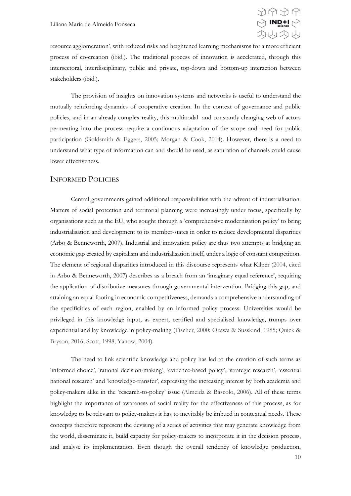

resource agglomeration', with reduced risks and heightened learning mechanisms for a more efficient process of co-creation (ibid.). The traditional process of innovation is accelerated, through this intersectoral, interdisciplinary, public and private, top-down and bottom-up interaction between stakeholders (ibid.).

The provision of insights on innovation systems and networks is useful to understand the mutually reinforcing dynamics of cooperative creation. In the context of governance and public policies, and in an already complex reality, this multinodal and constantly changing web of actors permeating into the process require a continuous adaptation of the scope and need for public participation (Goldsmith & Eggers, 2005; Morgan & Cook, 2014). However, there is a need to understand what type of information can and should be used, as saturation of channels could cause lower effectiveness.

#### <span id="page-9-0"></span>INFORMED POLICIES

Central governments gained additional responsibilities with the advent of industrialisation. Matters of social protection and territorial planning were increasingly under focus, specifically by organisations such as the EU, who sought through a 'comprehensive modernisation policy' to bring industrialisation and development to its member-states in order to reduce developmental disparities (Arbo & Benneworth, 2007). Industrial and innovation policy are thus two attempts at bridging an economic gap created by capitalism and industrialisation itself, under a logic of constant competition. The element of regional disparities introduced in this discourse represents what Kilper (2004, cited in Arbo & Benneworth, 2007) describes as a breach from an 'imaginary equal reference', requiring the application of distributive measures through governmental intervention. Bridging this gap, and attaining an equal footing in economic competitiveness, demands a comprehensive understanding of the specificities of each region, enabled by an informed policy process. Universities would be privileged in this knowledge input, as expert, certified and specialised knowledge, trumps over experiential and lay knowledge in policy-making (Fischer, 2000; Ozawa & Susskind, 1985; Quick & Bryson, 2016; Scott, 1998; Yanow, 2004).

The need to link scientific knowledge and policy has led to the creation of such terms as 'informed choice', 'rational decision-making', 'evidence-based policy', 'strategic research', 'essential national research' and 'knowledge-transfer', expressing the increasing interest by both academia and policy-makers alike in the 'research-to-policy' issue (Almeida & Báscolo, 2006). All of these terms highlight the importance of awareness of social reality for the effectiveness of this process, as for knowledge to be relevant to policy-makers it has to inevitably be imbued in contextual needs. These concepts therefore represent the devising of a series of activities that may generate knowledge from the world, disseminate it, build capacity for policy-makers to incorporate it in the decision process, and analyse its implementation. Even though the overall tendency of knowledge production,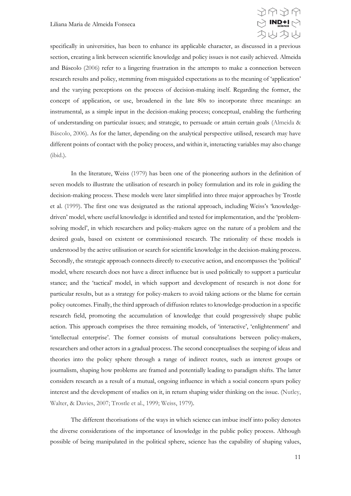

specifically in universities, has been to enhance its applicable character, as discussed in a previous section, creating a link between scientific knowledge and policy issues is not easily achieved. Almeida and Báscolo (2006) refer to a lingering frustration in the attempts to make a connection between research results and policy, stemming from misguided expectations as to the meaning of 'application' and the varying perceptions on the process of decision-making itself. Regarding the former, the concept of application, or use, broadened in the late 80s to incorporate three meanings: an instrumental, as a simple input in the decision-making process; conceptual, enabling the furthering of understanding on particular issues; and strategic, to persuade or attain certain goals (Almeida & Báscolo, 2006). As for the latter, depending on the analytical perspective utilised, research may have different points of contact with the policy process, and within it, interacting variables may also change (ibid.).

In the literature, Weiss (1979) has been one of the pioneering authors in the definition of seven models to illustrate the utilisation of research in policy formulation and its role in guiding the decision-making process. These models were later simplified into three major approaches by Trostle et al. (1999). The first one was designated as the rational approach, including Weiss's 'knowledgedriven' model, where useful knowledge is identified and tested for implementation, and the 'problemsolving model', in which researchers and policy-makers agree on the nature of a problem and the desired goals, based on existent or commissioned research. The rationality of these models is understood by the active utilisation or search for scientific knowledge in the decision-making process. Secondly, the strategic approach connects directly to executive action, and encompasses the 'political' model, where research does not have a direct influence but is used politically to support a particular stance; and the 'tactical' model, in which support and development of research is not done for particular results, but as a strategy for policy-makers to avoid taking actions or the blame for certain policy outcomes. Finally, the third approach of diffusion relates to knowledge-production in a specific research field, promoting the accumulation of knowledge that could progressively shape public action. This approach comprises the three remaining models, of 'interactive', 'enlightenment' and 'intellectual enterprise'. The former consists of mutual consultations between policy-makers, researchers and other actors in a gradual process. The second conceptualises the seeping of ideas and theories into the policy sphere through a range of indirect routes, such as interest groups or journalism, shaping how problems are framed and potentially leading to paradigm shifts. The latter considers research as a result of a mutual, ongoing influence in which a social concern spurs policy interest and the development of studies on it, in return shaping wider thinking on the issue. (Nutley, Walter, & Davies, 2007; Trostle et al., 1999; Weiss, 1979).

The different theorisations of the ways in which science can imbue itself into policy denotes the diverse considerations of the importance of knowledge in the public policy process. Although possible of being manipulated in the political sphere, science has the capability of shaping values,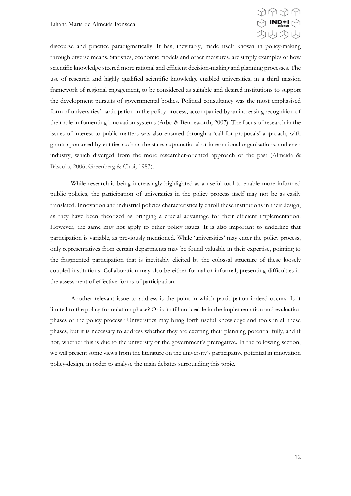

discourse and practice paradigmatically. It has, inevitably, made itself known in policy-making through diverse means. Statistics, economic models and other measures, are simply examples of how scientific knowledge steered more rational and efficient decision-making and planning processes. The use of research and highly qualified scientific knowledge enabled universities, in a third mission framework of regional engagement, to be considered as suitable and desired institutions to support the development pursuits of governmental bodies. Political consultancy was the most emphasised form of universities' participation in the policy process, accompanied by an increasing recognition of their role in fomenting innovation systems (Arbo & Benneworth, 2007). The focus of research in the issues of interest to public matters was also ensured through a 'call for proposals' approach, with grants sponsored by entities such as the state, supranational or international organisations, and even industry, which diverged from the more researcher-oriented approach of the past (Almeida & Báscolo, 2006; Greenberg & Choi, 1983).

While research is being increasingly highlighted as a useful tool to enable more informed public policies, the participation of universities in the policy process itself may not be as easily translated. Innovation and industrial policies characteristically enroll these institutions in their design, as they have been theorized as bringing a crucial advantage for their efficient implementation. However, the same may not apply to other policy issues. It is also important to underline that participation is variable, as previously mentioned. While 'universities' may enter the policy process, only representatives from certain departments may be found valuable in their expertise, pointing to the fragmented participation that is inevitably elicited by the colossal structure of these loosely coupled institutions. Collaboration may also be either formal or informal, presenting difficulties in the assessment of effective forms of participation.

Another relevant issue to address is the point in which participation indeed occurs. Is it limited to the policy formulation phase? Or is it still noticeable in the implementation and evaluation phases of the policy process? Universities may bring forth useful knowledge and tools in all these phases, but it is necessary to address whether they are exerting their planning potential fully, and if not, whether this is due to the university or the government's prerogative. In the following section, we will present some views from the literature on the university's participative potential in innovation policy-design, in order to analyse the main debates surrounding this topic.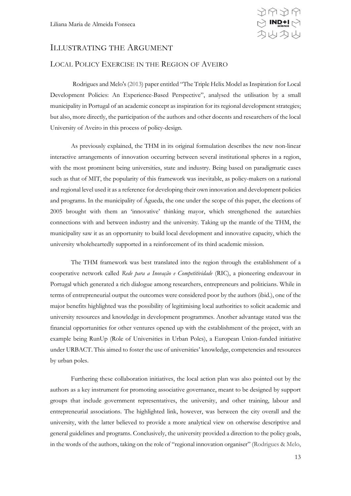

## <span id="page-12-0"></span>ILLUSTRATING THE ARGUMENT

#### <span id="page-12-1"></span>LOCAL POLICY EXERCISE IN THE REGION OF AVEIRO

Rodrigues and Melo's (2013) paper entitled "The Triple Helix Model as Inspiration for Local Development Policies: An Experience-Based Perspective", analysed the utilisation by a small municipality in Portugal of an academic concept as inspiration for its regional development strategies; but also, more directly, the participation of the authors and other docents and researchers of the local University of Aveiro in this process of policy-design.

As previously explained, the THM in its original formulation describes the new non-linear interactive arrangements of innovation occurring between several institutional spheres in a region, with the most prominent being universities, state and industry. Being based on paradigmatic cases such as that of MIT, the popularity of this framework was inevitable, as policy-makers on a national and regional level used it as a reference for developing their own innovation and development policies and programs. In the municipality of Águeda, the one under the scope of this paper, the elections of 2005 brought with them an 'innovative' thinking mayor, which strengthened the autarchies connections with and between industry and the university. Taking up the mantle of the THM, the municipality saw it as an opportunity to build local development and innovative capacity, which the university wholeheartedly supported in a reinforcement of its third academic mission.

The THM framework was best translated into the region through the establishment of a cooperative network called *Rede para a Inovação e Competitividade* (RIC), a pioneering endeavour in Portugal which generated a rich dialogue among researchers, entrepreneurs and politicians. While in terms of entrepreneurial output the outcomes were considered poor by the authors (ibid.), one of the major benefits highlighted was the possibility of legitimising local authorities to solicit academic and university resources and knowledge in development programmes. Another advantage stated was the financial opportunities for other ventures opened up with the establishment of the project, with an example being RunUp (Role of Universities in Urban Poles), a European Union-funded initiative under URBACT. This aimed to foster the use of universities' knowledge, competencies and resources by urban poles.

Furthering these collaboration initiatives, the local action plan was also pointed out by the authors as a key instrument for promoting associative governance, meant to be designed by support groups that include government representatives, the university, and other training, labour and entrepreneurial associations. The highlighted link, however, was between the city overall and the university, with the latter believed to provide a more analytical view on otherwise descriptive and general guidelines and programs. Conclusively, the university provided a direction to the policy goals, in the words of the authors, taking on the role of "regional innovation organiser" (Rodrigues & Melo,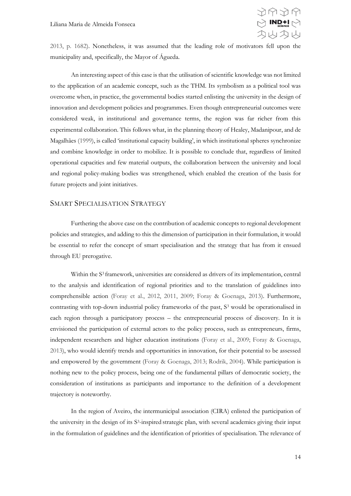

2013, p. 1682). Nonetheless, it was assumed that the leading role of motivators fell upon the municipality and, specifically, the Mayor of Águeda.

An interesting aspect of this case is that the utilisation of scientific knowledge was not limited to the application of an academic concept, such as the THM. Its symbolism as a political tool was overcome when, in practice, the governmental bodies started enlisting the university in the design of innovation and development policies and programmes. Even though entrepreneurial outcomes were considered weak, in institutional and governance terms, the region was far richer from this experimental collaboration. This follows what, in the planning theory of Healey, Madanipour, and de Magalhães (1999), is called 'institutional capacity building', in which institutional spheres synchronize and combine knowledge in order to mobilize. It is possible to conclude that, regardless of limited operational capacities and few material outputs, the collaboration between the university and local and regional policy-making bodies was strengthened, which enabled the creation of the basis for future projects and joint initiatives.

#### <span id="page-13-0"></span>SMART SPECIALISATION STRATEGY

Furthering the above case on the contribution of academic concepts to regional development policies and strategies, and adding to this the dimension of participation in their formulation, it would be essential to refer the concept of smart specialisation and the strategy that has from it ensued through EU prerogative.

Within the S<sup>3</sup> framework, universities are considered as drivers of its implementation, central to the analysis and identification of regional priorities and to the translation of guidelines into comprehensible action (Foray et al., 2012, 2011, 2009; Foray & Goenaga, 2013). Furthermore, contrasting with top-down industrial policy frameworks of the past, S<sup>3</sup> would be operationalised in each region through a participatory process – the entrepreneurial process of discovery. In it is envisioned the participation of external actors to the policy process, such as entrepreneurs, firms, independent researchers and higher education institutions (Foray et al., 2009; Foray & Goenaga, 2013), who would identify trends and opportunities in innovation, for their potential to be assessed and empowered by the government (Foray & Goenaga, 2013; Rodrik, 2004). While participation is nothing new to the policy process, being one of the fundamental pillars of democratic society, the consideration of institutions as participants and importance to the definition of a development trajectory is noteworthy.

In the region of Aveiro, the intermunicipal association (CIRA) enlisted the participation of the university in the design of its S<sup>3</sup>-inspired strategic plan, with several academics giving their input in the formulation of guidelines and the identification of priorities of specialisation. The relevance of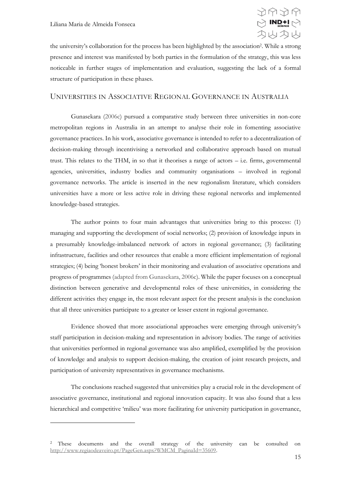<u>.</u>



the university's collaboration for the process has been highlighted by the association<sup>2</sup>. While a strong presence and interest was manifested by both parties in the formulation of the strategy, this was less noticeable in further stages of implementation and evaluation, suggesting the lack of a formal structure of participation in these phases.

#### <span id="page-14-0"></span>UNIVERSITIES IN ASSOCIATIVE REGIONAL GOVERNANCE IN AUSTRALIA

Gunasekara (2006c) pursued a comparative study between three universities in non-core metropolitan regions in Australia in an attempt to analyse their role in fomenting associative governance practices. In his work, associative governance is intended to refer to a decentralization of decision-making through incentivising a networked and collaborative approach based on mutual trust. This relates to the THM, in so that it theorises a range of actors – i.e. firms, governmental agencies, universities, industry bodies and community organisations – involved in regional governance networks. The article is inserted in the new regionalism literature, which considers universities have a more or less active role in driving these regional networks and implemented knowledge-based strategies.

The author points to four main advantages that universities bring to this process: (1) managing and supporting the development of social networks; (2) provision of knowledge inputs in a presumably knowledge-imbalanced network of actors in regional governance; (3) facilitating infrastructure, facilities and other resources that enable a more efficient implementation of regional strategies; (4) being 'honest brokers' in their monitoring and evaluation of associative operations and progress of programmes (adapted from Gunasekara, 2006c). While the paper focuses on a conceptual distinction between generative and developmental roles of these universities, in considering the different activities they engage in, the most relevant aspect for the present analysis is the conclusion that all three universities participate to a greater or lesser extent in regional governance.

Evidence showed that more associational approaches were emerging through university's staff participation in decision-making and representation in advisory bodies. The range of activities that universities performed in regional governance was also amplified, exemplified by the provision of knowledge and analysis to support decision-making, the creation of joint research projects, and participation of university representatives in governance mechanisms.

The conclusions reached suggested that universities play a crucial role in the development of associative governance, institutional and regional innovation capacity. It was also found that a less hierarchical and competitive 'milieu' was more facilitating for university participation in governance,

<sup>2</sup> These documents and the overall strategy of the university can be consulted on [http://www.regiaodeaveiro.pt/PageGen.aspx?WMCM\\_PaginaId=35609.](http://www.regiaodeaveiro.pt/PageGen.aspx?WMCM_PaginaId=35609)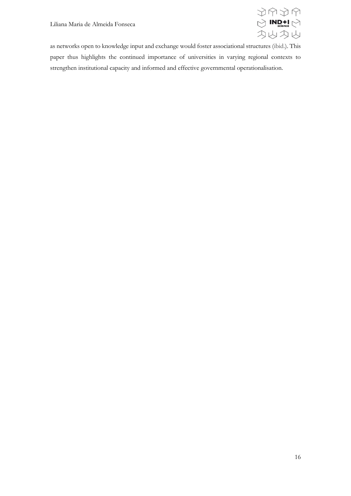

as networks open to knowledge input and exchange would foster associational structures (ibid.). This paper thus highlights the continued importance of universities in varying regional contexts to strengthen institutional capacity and informed and effective governmental operationalisation.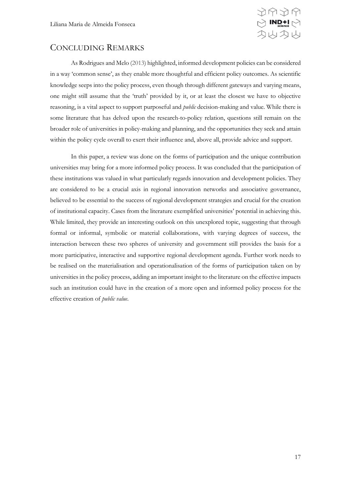

# <span id="page-16-0"></span>CONCLUDING REMARKS

As Rodrigues and Melo (2013) highlighted, informed development policies can be considered in a way 'common sense', as they enable more thoughtful and efficient policy outcomes. As scientific knowledge seeps into the policy process, even though through different gateways and varying means, one might still assume that the 'truth' provided by it, or at least the closest we have to objective reasoning, is a vital aspect to support purposeful and *public* decision-making and value. While there is some literature that has delved upon the research-to-policy relation, questions still remain on the broader role of universities in policy-making and planning, and the opportunities they seek and attain within the policy cycle overall to exert their influence and, above all, provide advice and support.

In this paper, a review was done on the forms of participation and the unique contribution universities may bring for a more informed policy process. It was concluded that the participation of these institutions was valued in what particularly regards innovation and development policies. They are considered to be a crucial axis in regional innovation networks and associative governance, believed to be essential to the success of regional development strategies and crucial for the creation of institutional capacity. Cases from the literature exemplified universities' potential in achieving this. While limited, they provide an interesting outlook on this unexplored topic, suggesting that through formal or informal, symbolic or material collaborations, with varying degrees of success, the interaction between these two spheres of university and government still provides the basis for a more participative, interactive and supportive regional development agenda. Further work needs to be realised on the materialisation and operationalisation of the forms of participation taken on by universities in the policy process, adding an important insight to the literature on the effective impacts such an institution could have in the creation of a more open and informed policy process for the effective creation of *public value*.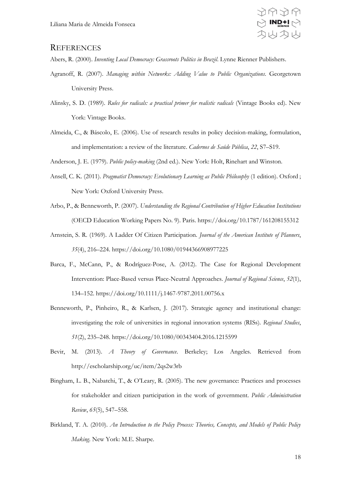

### <span id="page-17-0"></span>**REFERENCES**

Abers, R. (2000). *Inventing Local Democracy: Grassroots Politics in Brazil*. Lynne Rienner Publishers.

- Agranoff, R. (2007). *Managing within Networks: Adding Value to Public Organizations*. Georgetown University Press.
- Alinsky, S. D. (1989). *Rules for radicals: a practical primer for realistic radicals* (Vintage Books ed). New York: Vintage Books.
- Almeida, C., & Báscolo, E. (2006). Use of research results in policy decision-making, formulation, and implementation: a review of the literature. *Cadernos de Saúde Pública*, *22*, S7–S19.

Anderson, J. E. (1979). *Public policy-making* (2nd ed.). New York: Holt, Rinehart and Winston.

- Ansell, C. K. (2011). *Pragmatist Democracy: Evolutionary Learning as Public Philosophy* (1 edition). Oxford ; New York: Oxford University Press.
- Arbo, P., & Benneworth, P. (2007). *Understanding the Regional Contribution of Higher Education Institutions* (OECD Education Working Papers No. 9). Paris. https://doi.org/10.1787/161208155312
- Arnstein, S. R. (1969). A Ladder Of Citizen Participation. *Journal of the American Institute of Planners*, *35*(4), 216–224. https://doi.org/10.1080/01944366908977225
- Barca, F., McCann, P., & Rodríguez-Pose, A. (2012). The Case for Regional Development Intervention: Place-Based versus Place-Neutral Approaches. *Journal of Regional Science*, *52*(1), 134–152. https://doi.org/10.1111/j.1467-9787.2011.00756.x
- Benneworth, P., Pinheiro, R., & Karlsen, J. (2017). Strategic agency and institutional change: investigating the role of universities in regional innovation systems (RISs). *Regional Studies*, *51*(2), 235–248. https://doi.org/10.1080/00343404.2016.1215599
- Bevir, M. (2013). *A Theory of Governance*. Berkeley; Los Angeles. Retrieved from http://escholarship.org/uc/item/2qs2w3rb
- Bingham, L. B., Nabatchi, T., & O'Leary, R. (2005). The new governance: Practices and processes for stakeholder and citizen participation in the work of government. *Public Administration Review*, *65*(5), 547–558.
- Birkland, T. A. (2010). *An Introduction to the Policy Process: Theories, Concepts, and Models of Public Policy Making*. New York: M.E. Sharpe.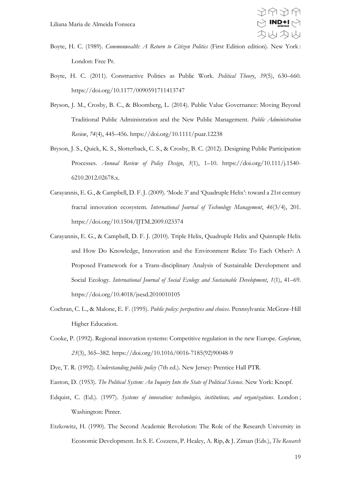- Boyte, H. C. (1989). *Commonwealth: A Return to Citizen Politics* (First Edition edition). New York : London: Free Pr.
- Boyte, H. C. (2011). Constructive Politics as Public Work. *Political Theory*, *39*(5), 630–660. https://doi.org/10.1177/0090591711413747
- Bryson, J. M., Crosby, B. C., & Bloomberg, L. (2014). Public Value Governance: Moving Beyond Traditional Public Administration and the New Public Management. *Public Administration Review*, *74*(4), 445–456. https://doi.org/10.1111/puar.12238
- Bryson, J. S., Quick, K. S., Slotterback, C. S., & Crosby, B. C. (2012). Designing Public Participation Processes. *Annual Review of Policy Design*, *3*(1), 1–10. https://doi.org/10.111/j.1540- 6210.2012.02678.x.
- Carayannis, E. G., & Campbell, D. F. J. (2009). 'Mode 3' and 'Quadruple Helix': toward a 21st century fractal innovation ecosystem. *International Journal of Technology Management*, *46*(3/4), 201. https://doi.org/10.1504/IJTM.2009.023374
- Carayannis, E. G., & Campbell, D. F. J. (2010). Triple Helix, Quadruple Helix and Quintuple Helix and How Do Knowledge, Innovation and the Environment Relate To Each Other?: A Proposed Framework for a Trans-disciplinary Analysis of Sustainable Development and Social Ecology. *International Journal of Social Ecology and Sustainable Development*, *1*(1), 41–69. https://doi.org/10.4018/jsesd.2010010105
- Cochran, C. L., & Malone, E. F. (1995). *Public policy: perspectives and choices*. Pennsylvania: McGraw-Hill Higher Education.
- Cooke, P. (1992). Regional innovation systems: Competitive regulation in the new Europe. *Geoforum*, *23*(3), 365–382. https://doi.org/10.1016/0016-7185(92)90048-9
- Dye, T. R. (1992). *Understanding public policy* (7th ed.). New Jersey: Prentice Hall PTR.
- Easton, D. (1953). *The Political System: An Inquiry Into the State of Political Science*. New York: Knopf.
- Edquist, C. (Ed.). (1997). *Systems of innovation: technologies, institutions, and organizations*. London ; Washington: Pinter.
- Etzkowitz, H. (1990). The Second Academic Revolution: The Role of the Research University in Economic Development. In S. E. Cozzens, P. Healey, A. Rip, & J. Ziman (Eds.), *The Research*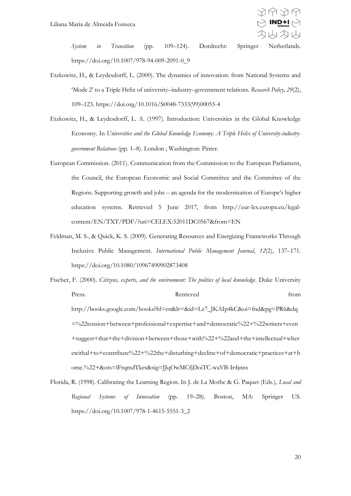

*System in Transition* (pp. 109–124). Dordrecht: Springer Netherlands. https://doi.org/10.1007/978-94-009-2091-0\_9

- Etzkowitz, H., & Leydesdorff, L. (2000). The dynamics of innovation: from National Systems and 'Mode 2' to a Triple Helix of university–industry–government relations. *Research Policy*, *29*(2), 109–123. https://doi.org/10.1016/S0048-7333(99)00055-4
- Etzkowitz, H., & Leydesdorff, L. A. (1997). Introduction: Universities in the Global Knowledge Economy. In *Universities and the Global Knowledge Economy: A Triple Helix of University-industrygovernment Relations* (pp. 1–8). London ; Washington: Pinter.
- European Commission. (2011). Communication from the Commission to the European Parliament, the Council, the European Economic and Social Committee and the Committee of the Regions. Supporting growth and jobs – an agenda for the modernisation of Europe's higher education systems. Retrieved 5 June 2017, from http://eur-lex.europa.eu/legalcontent/EN/TXT/PDF/?uri=CELEX:52011DC0567&from=EN
- Feldman, M. S., & Quick, K. S. (2009). Generating Resources and Energizing Frameworks Through Inclusive Public Management. *International Public Management Journal*, *12*(2), 137–171. https://doi.org/10.1080/10967490902873408
- Fischer, F. (2000). *Citizens, experts, and the environment: The politics of local knowledge*. Duke University Press. Retrieved from http://books.google.com/books?hl=en&lr=&id=Lz7\_JKAIp4kC&oi=fnd&pg=PR6&dq =%22tension+between+professional+expertise+and+democratic%22+%22writers+even +suggest+that+the+division+between+those+with%22+%22and+the+intellectual+wher

ewithal+to+contribute%22+%22the+disturbing+decline+of+democratic+practices+at+h ome.%22+&ots=lFrqmdTkes&sig=JJqOwMCfjDoiTC-waVB-Ir4jnns

Florida, R. (1998). Calibrating the Learning Region. In J. de La Mothe & G. Paquet (Eds.), *Local and Regional Systems of Innovation* (pp. 19–28). Boston, MA: Springer US. https://doi.org/10.1007/978-1-4615-5551-3\_2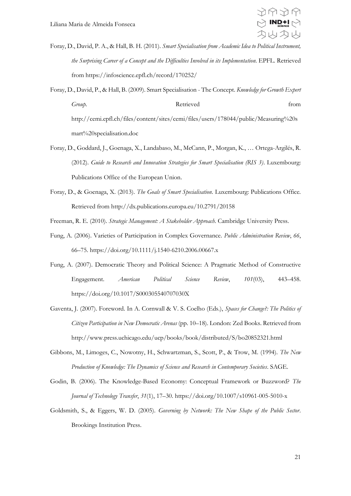

- Foray, D., David, P. A., & Hall, B. H. (2011). *Smart Specialisation from Academic Idea to Political Instrument, the Surprising Career of a Concept and the Difficulties Involved in its Implementation*. EPFL. Retrieved from https://infoscience.epfl.ch/record/170252/
- Foray, D., David, P., & Hall, B. (2009). Smart Specialisation The Concept. *Knowledge for Growth Expert Group*. **Retrieved heating** *Group*. **from** http://cemi.epfl.ch/files/content/sites/cemi/files/users/178044/public/Measuring%20s mart%20specialisation.doc
- Foray, D., Goddard, J., Goenaga, X., Landabaso, M., McCann, P., Morgan, K., … Ortega-Argilés, R. (2012). *Guide to Research and Innovation Strategies for Smart Specialisation (RIS 3)*. Luxembourg: Publications Office of the European Union.
- Foray, D., & Goenaga, X. (2013). *The Goals of Smart Specialisation*. Luxembourg: Publications Office. Retrieved from http://dx.publications.europa.eu/10.2791/20158
- Freeman, R. E. (2010). *Strategic Management: A Stakeholder Approach*. Cambridge University Press.
- Fung, A. (2006). Varieties of Participation in Complex Governance. *Public Administration Review*, *66*, 66–75. https://doi.org/10.1111/j.1540-6210.2006.00667.x
- Fung, A. (2007). Democratic Theory and Political Science: A Pragmatic Method of Constructive Engagement. *American Political Science Review*, *101*(03), 443–458. https://doi.org/10.1017/S000305540707030X
- Gaventa, J. (2007). Foreword. In A. Cornwall & V. S. Coelho (Eds.), *Spaces for Change?: The Politics of Citizen Participation in New Democratic Arenas* (pp. 10–18). London: Zed Books. Retrieved from http://www.press.uchicago.edu/ucp/books/book/distributed/S/bo20852321.html
- Gibbons, M., Limoges, C., Nowotny, H., Schwartzman, S., Scott, P., & Trow, M. (1994). *The New Production of Knowledge: The Dynamics of Science and Research in Contemporary Societies*. SAGE.
- Godin, B. (2006). The Knowledge-Based Economy: Conceptual Framework or Buzzword? *The Journal of Technology Transfer*, *31*(1), 17–30. https://doi.org/10.1007/s10961-005-5010-x
- Goldsmith, S., & Eggers, W. D. (2005). *Governing by Network: The New Shape of the Public Sector*. Brookings Institution Press.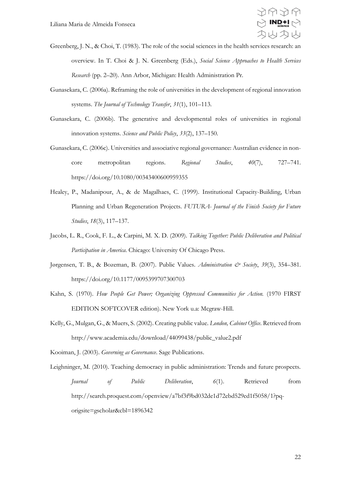

- Greenberg, J. N., & Choi, T. (1983). The role of the social sciences in the health services research: an overview. In T. Choi & J. N. Greenberg (Eds.), *Social Science Approaches to Health Services Research* (pp. 2–20). Ann Arbor, Michigan: Health Administration Pr.
- Gunasekara, C. (2006a). Reframing the role of universities in the development of regional innovation systems. *The Journal of Technology Transfer*, *31*(1), 101–113.
- Gunasekara, C. (2006b). The generative and developmental roles of universities in regional innovation systems. *Science and Public Policy*, *33*(2), 137–150.
- Gunasekara, C. (2006c). Universities and associative regional governance: Australian evidence in noncore metropolitan regions. *Regional Studies*, *40*(7), 727–741. https://doi.org/10.1080/00343400600959355
- Healey, P., Madanipour, A., & de Magalhaes, C. (1999). Institutional Capacity-Building, Urban Planning and Urban Regeneration Projects. *FUTURA- Journal of the Finish Society for Future Studies*, *18*(3), 117–137.
- Jacobs, L. R., Cook, F. L., & Carpini, M. X. D. (2009). *Talking Together: Public Deliberation and Political Participation in America*. Chicago: University Of Chicago Press.
- Jørgensen, T. B., & Bozeman, B. (2007). Public Values. *Administration & Society*, *39*(3), 354–381. https://doi.org/10.1177/0095399707300703
- Kahn, S. (1970). *How People Get Power; Organizing Oppressed Communities for Action.* (1970 FIRST EDITION SOFTCOVER edition). New York u.a: Mcgraw-Hill.
- Kelly, G., Mulgan, G., & Muers, S. (2002). Creating public value. *London, Cabinet Office*. Retrieved from http://www.academia.edu/download/44099438/public\_value2.pdf
- Kooiman, J. (2003). *Governing as Governance*. Sage Publications.
- Leighninger, M. (2010). Teaching democracy in public administration: Trends and future prospects. *Journal of Public Deliberation*, *6*(1). Retrieved from http://search.proquest.com/openview/a7bf3f9bd032de1d72ebd529ed1f5058/1?pqorigsite=gscholar&cbl=1896342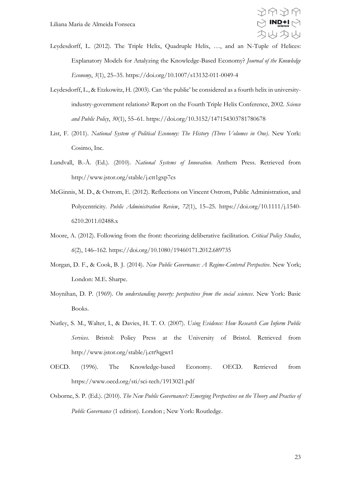

- Leydesdorff, L. (2012). The Triple Helix, Quadruple Helix, …, and an N-Tuple of Helices: Explanatory Models for Analyzing the Knowledge-Based Economy? *Journal of the Knowledge Economy*, *3*(1), 25–35. https://doi.org/10.1007/s13132-011-0049-4
- Leydesdorff, L., & Etzkowitz, H. (2003). Can 'the public' be considered as a fourth helix in universityindustry-government relations? Report on the Fourth Triple Helix Conference, 2002. *Science and Public Policy*, *30*(1), 55–61. https://doi.org/10.3152/147154303781780678
- List, F. (2011). *National System of Political Economy: The History (Three Volumes in One)*. New York: Cosimo, Inc.
- Lundvall, B.-Å. (Ed.). (2010). *National Systems of Innovation*. Anthem Press. Retrieved from http://www.jstor.org/stable/j.ctt1gxp7cs
- McGinnis, M. D., & Ostrom, E. (2012). Reflections on Vincent Ostrom, Public Administration, and Polycentricity. *Public Administration Review*, *72*(1), 15–25. https://doi.org/10.1111/j.1540- 6210.2011.02488.x
- Moore, A. (2012). Following from the front: theorizing deliberative facilitation. *Critical Policy Studies*, *6*(2), 146–162. https://doi.org/10.1080/19460171.2012.689735
- Morgan, D. F., & Cook, B. J. (2014). *New Public Governance: A Regime-Centered Perspective*. New York; London: M.E. Sharpe.
- Moynihan, D. P. (1969). *On understanding poverty: perspectives from the social sciences*. New York: Basic Books.
- Nutley, S. M., Walter, I., & Davies, H. T. O. (2007). *Using Evidence: How Research Can Inform Public Services*. Bristol: Policy Press at the University of Bristol. Retrieved from http://www.jstor.org/stable/j.ctt9qgwt1
- OECD. (1996). The Knowledge-based Economy. OECD. Retrieved from https://www.oecd.org/sti/sci-tech/1913021.pdf
- Osborne, S. P. (Ed.). (2010). *The New Public Governance?: Emerging Perspectives on the Theory and Practice of Public Governance* (1 edition). London ; New York: Routledge.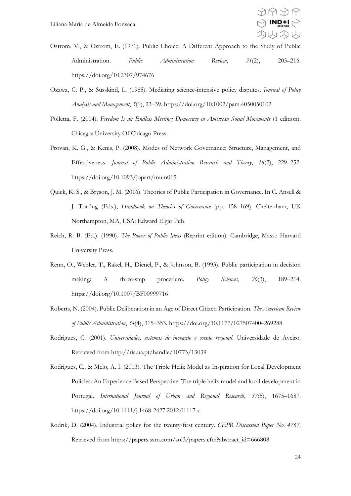

- Ostrom, V., & Ostrom, E. (1971). Public Choice: A Different Approach to the Study of Public Administration. *Public Administration Review*, *31*(2), 203–216. https://doi.org/10.2307/974676
- Ozawa, C. P., & Susskind, L. (1985). Mediating science-intensive policy disputes. *Journal of Policy Analysis and Management*, *5*(1), 23–39. https://doi.org/10.1002/pam.4050050102
- Polletta, F. (2004). *Freedom Is an Endless Meeting: Democracy in American Social Movements* (1 edition). Chicago: University Of Chicago Press.
- Provan, K. G., & Kenis, P. (2008). Modes of Network Governance: Structure, Management, and Effectiveness. *Journal of Public Administration Research and Theory*, *18*(2), 229–252. https://doi.org/10.1093/jopart/mum015
- Quick, K. S., & Bryson, J. M. (2016). Theories of Public Participation in Governance. In C. Ansell & J. Torfing (Eds.), *Handbook on Theories of Governance* (pp. 158–169). Cheltenham, UK Northampton, MA, USA: Edward Elgar Pub.
- Reich, R. B. (Ed.). (1990). *The Power of Public Ideas* (Reprint edition). Cambridge, Mass.: Harvard University Press.
- Renn, O., Webler, T., Rakel, H., Dienel, P., & Johnson, B. (1993). Public participation in decision making: A three-step procedure. *Policy Sciences*, *26*(3), 189–214. https://doi.org/10.1007/BF00999716
- Roberts, N. (2004). Public Deliberation in an Age of Direct Citizen Participation. *The American Review of Public Administration*, *34*(4), 315–353. https://doi.org/10.1177/0275074004269288
- Rodrigues, C. (2001). *Universidades, sistemas de inovação e coesão regional*. Universidade de Aveiro. Retrieved from http://ria.ua.pt/handle/10773/13039
- Rodrigues, C., & Melo, A. I. (2013). The Triple Helix Model as Inspiration for Local Development Policies: An Experience-Based Perspective: The triple helix model and local development in Portugal. *International Journal of Urban and Regional Research*, *37*(5), 1675–1687. https://doi.org/10.1111/j.1468-2427.2012.01117.x
- Rodrik, D. (2004). Industrial policy for the twenty-first century. *CEPR Discussion Paper No. 4767*. Retrieved from https://papers.ssrn.com/sol3/papers.cfm?abstract\_id=666808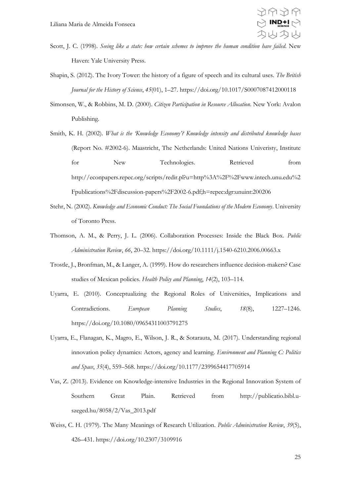

- Scott, J. C. (1998). *Seeing like a state: how certain schemes to improve the human condition have failed*. New Haven: Yale University Press.
- Shapin, S. (2012). The Ivory Tower: the history of a figure of speech and its cultural uses. *The British Journal for the History of Science*, *45*(01), 1–27. https://doi.org/10.1017/S0007087412000118
- Simonsen, W., & Robbins, M. D. (2000). *Citizen Participation in Resource Allocation*. New York: Avalon Publishing.
- Smith, K. H. (2002). *What is the 'Knowledge Economy'? Knowledge intensity and distributed knowledge bases* (Report No. #2002-6). Maastricht, The Netherlands: United Nations Univeristy, Institute for New Technologies. Retrieved from http://econpapers.repec.org/scripts/redir.pl?u=http%3A%2F%2Fwww.intech.unu.edu%2 Fpublications%2Fdiscussion-papers%2F2002-6.pdf;h=repec:dgr:unuint:200206
- Stehr, N. (2002). *Knowledge and Economic Conduct: The Social Foundations of the Modern Economy*. University of Toronto Press.
- Thomson, A. M., & Perry, J. L. (2006). Collaboration Processes: Inside the Black Box. *Public Administration Review*, *66*, 20–32. https://doi.org/10.1111/j.1540-6210.2006.00663.x
- Trostle, J., Bronfman, M., & Langer, A. (1999). How do researchers influence decision-makers? Case studies of Mexican policies. *Health Policy and Planning*, *14*(2), 103–114.
- Uyarra, E. (2010). Conceptualizing the Regional Roles of Universities, Implications and Contradictions. *European Planning Studies*, *18*(8), 1227–1246. https://doi.org/10.1080/09654311003791275
- Uyarra, E., Flanagan, K., Magro, E., Wilson, J. R., & Sotarauta, M. (2017). Understanding regional innovation policy dynamics: Actors, agency and learning. *Environment and Planning C: Politics and Space*, *35*(4), 559–568. https://doi.org/10.1177/2399654417705914
- Vas, Z. (2013). Evidence on Knowledge-intensive Industries in the Regional Innovation System of Southern Great Plain. Retrieved from http://publicatio.bibl.uszeged.hu/8058/2/Vas\_2013.pdf
- Weiss, C. H. (1979). The Many Meanings of Research Utilization. *Public Administration Review*, *39*(5), 426–431. https://doi.org/10.2307/3109916